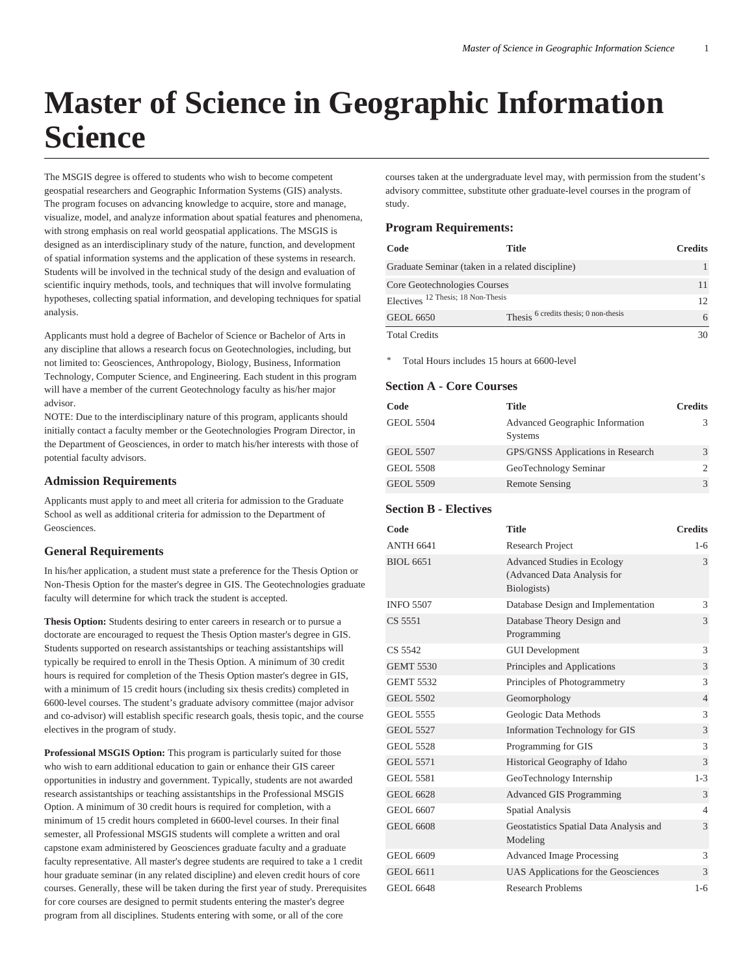# **Master of Science in Geographic Information Science**

The MSGIS degree is offered to students who wish to become competent geospatial researchers and Geographic Information Systems (GIS) analysts. The program focuses on advancing knowledge to acquire, store and manage, visualize, model, and analyze information about spatial features and phenomena, with strong emphasis on real world geospatial applications. The MSGIS is designed as an interdisciplinary study of the nature, function, and development of spatial information systems and the application of these systems in research. Students will be involved in the technical study of the design and evaluation of scientific inquiry methods, tools, and techniques that will involve formulating hypotheses, collecting spatial information, and developing techniques for spatial analysis.

Applicants must hold a degree of Bachelor of Science or Bachelor of Arts in any discipline that allows a research focus on Geotechnologies, including, but not limited to: Geosciences, Anthropology, Biology, Business, Information Technology, Computer Science, and Engineering. Each student in this program will have a member of the current Geotechnology faculty as his/her major advisor.

NOTE: Due to the interdisciplinary nature of this program, applicants should initially contact a faculty member or the Geotechnologies Program Director, in the Department of Geosciences, in order to match his/her interests with those of potential faculty advisors.

## **Admission Requirements**

Applicants must apply to and meet all criteria for admission to the Graduate School as well as additional criteria for admission to the Department of Geosciences.

## **General Requirements**

In his/her application, a student must state a preference for the Thesis Option or Non-Thesis Option for the master's degree in GIS. The Geotechnologies graduate faculty will determine for which track the student is accepted.

**Thesis Option:** Students desiring to enter careers in research or to pursue a doctorate are encouraged to request the Thesis Option master's degree in GIS. Students supported on research assistantships or teaching assistantships will typically be required to enroll in the Thesis Option. A minimum of 30 credit hours is required for completion of the Thesis Option master's degree in GIS, with a minimum of 15 credit hours (including six thesis credits) completed in 6600-level courses. The student's graduate advisory committee (major advisor and co-advisor) will establish specific research goals, thesis topic, and the course electives in the program of study.

**Professional MSGIS Option:** This program is particularly suited for those who wish to earn additional education to gain or enhance their GIS career opportunities in industry and government. Typically, students are not awarded research assistantships or teaching assistantships in the Professional MSGIS Option. A minimum of 30 credit hours is required for completion, with a minimum of 15 credit hours completed in 6600-level courses. In their final semester, all Professional MSGIS students will complete a written and oral capstone exam administered by Geosciences graduate faculty and a graduate faculty representative. All master's degree students are required to take a 1 credit hour graduate seminar (in any related discipline) and eleven credit hours of core courses. Generally, these will be taken during the first year of study. Prerequisites for core courses are designed to permit students entering the master's degree program from all disciplines. Students entering with some, or all of the core

courses taken at the undergraduate level may, with permission from the student's advisory committee, substitute other graduate-level courses in the program of study.

#### **Program Requirements:**

| Code                                             | Title                                            | <b>Credits</b> |
|--------------------------------------------------|--------------------------------------------------|----------------|
| Graduate Seminar (taken in a related discipline) |                                                  |                |
| Core Geotechnologies Courses                     |                                                  |                |
| Electives <sup>12</sup> Thesis; 18 Non-Thesis    |                                                  | $12^{\circ}$   |
| <b>GEOL 6650</b>                                 | Thesis <sup>6</sup> credits thesis; 0 non-thesis | 6              |
| <b>Total Credits</b>                             |                                                  |                |

Total Hours includes 15 hours at 6600-level

# **Section A - Core Courses**

| Code             | Title                                      | <b>Credits</b> |
|------------------|--------------------------------------------|----------------|
| <b>GEOL 5504</b> | Advanced Geographic Information<br>Systems |                |
| <b>GEOL 5507</b> | GPS/GNSS Applications in Research          |                |
| <b>GEOL 5508</b> | GeoTechnology Seminar                      |                |
| <b>GEOL 5509</b> | <b>Remote Sensing</b>                      | $\mathcal{R}$  |

# **Section B - Electives**

| Code             | <b>Title</b>                                                                     | <b>Credits</b> |
|------------------|----------------------------------------------------------------------------------|----------------|
| <b>ANTH 6641</b> | Research Project                                                                 | $1 - 6$        |
| <b>BIOL 6651</b> | <b>Advanced Studies in Ecology</b><br>(Advanced Data Analysis for<br>Biologists) | 3              |
| <b>INFO 5507</b> | Database Design and Implementation                                               | 3              |
| CS 5551          | Database Theory Design and<br>Programming                                        | 3              |
| CS 5542          | <b>GUI Development</b>                                                           | 3              |
| <b>GEMT 5530</b> | Principles and Applications                                                      | 3              |
| <b>GEMT 5532</b> | Principles of Photogrammetry                                                     | 3              |
| <b>GEOL 5502</b> | Geomorphology                                                                    | $\overline{4}$ |
| <b>GEOL 5555</b> | Geologic Data Methods                                                            | 3              |
| <b>GEOL 5527</b> | Information Technology for GIS                                                   | 3              |
| <b>GEOL 5528</b> | Programming for GIS                                                              | 3              |
| <b>GEOL 5571</b> | Historical Geography of Idaho                                                    | 3              |
| <b>GEOL 5581</b> | GeoTechnology Internship                                                         | $1 - 3$        |
| GEOL 6628        | <b>Advanced GIS Programming</b>                                                  | 3              |
| <b>GEOL 6607</b> | <b>Spatial Analysis</b>                                                          | 4              |
| <b>GEOL 6608</b> | Geostatistics Spatial Data Analysis and<br>Modeling                              | 3              |
| <b>GEOL 6609</b> | <b>Advanced Image Processing</b>                                                 | 3              |
| <b>GEOL 6611</b> | UAS Applications for the Geosciences                                             | 3              |
| <b>GEOL 6648</b> | <b>Research Problems</b>                                                         | $1-6$          |